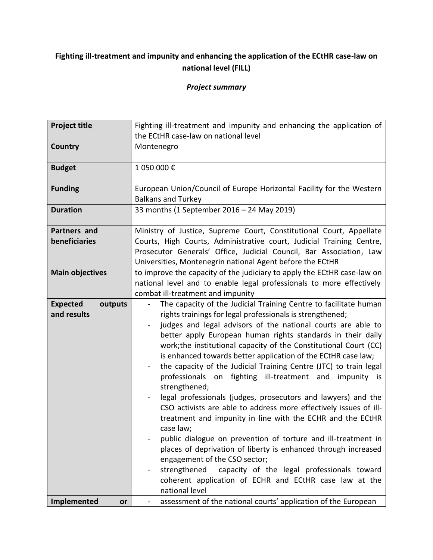## **Fighting ill-treatment and impunity and enhancing the application of the ECtHR case-law on national level (FILL)**

## *Project summary*

| <b>Project title</b>                      | Fighting ill-treatment and impunity and enhancing the application of                                                                                                                                                                                                                                                                                                                                                                                                                                                                                                                                                                                                                                                                                                                                                                                                                                                                                                                                                                                                                              |
|-------------------------------------------|---------------------------------------------------------------------------------------------------------------------------------------------------------------------------------------------------------------------------------------------------------------------------------------------------------------------------------------------------------------------------------------------------------------------------------------------------------------------------------------------------------------------------------------------------------------------------------------------------------------------------------------------------------------------------------------------------------------------------------------------------------------------------------------------------------------------------------------------------------------------------------------------------------------------------------------------------------------------------------------------------------------------------------------------------------------------------------------------------|
|                                           | the ECtHR case-law on national level                                                                                                                                                                                                                                                                                                                                                                                                                                                                                                                                                                                                                                                                                                                                                                                                                                                                                                                                                                                                                                                              |
| Country                                   | Montenegro                                                                                                                                                                                                                                                                                                                                                                                                                                                                                                                                                                                                                                                                                                                                                                                                                                                                                                                                                                                                                                                                                        |
| <b>Budget</b>                             | 1 050 000€                                                                                                                                                                                                                                                                                                                                                                                                                                                                                                                                                                                                                                                                                                                                                                                                                                                                                                                                                                                                                                                                                        |
| <b>Funding</b>                            | European Union/Council of Europe Horizontal Facility for the Western<br><b>Balkans and Turkey</b>                                                                                                                                                                                                                                                                                                                                                                                                                                                                                                                                                                                                                                                                                                                                                                                                                                                                                                                                                                                                 |
| <b>Duration</b>                           | 33 months (1 September 2016 - 24 May 2019)                                                                                                                                                                                                                                                                                                                                                                                                                                                                                                                                                                                                                                                                                                                                                                                                                                                                                                                                                                                                                                                        |
| Partners and<br>beneficiaries             | Ministry of Justice, Supreme Court, Constitutional Court, Appellate<br>Courts, High Courts, Administrative court, Judicial Training Centre,<br>Prosecutor Generals' Office, Judicial Council, Bar Association, Law<br>Universities, Montenegrin national Agent before the ECtHR                                                                                                                                                                                                                                                                                                                                                                                                                                                                                                                                                                                                                                                                                                                                                                                                                   |
| <b>Main objectives</b>                    | to improve the capacity of the judiciary to apply the ECtHR case-law on<br>national level and to enable legal professionals to more effectively<br>combat ill-treatment and impunity                                                                                                                                                                                                                                                                                                                                                                                                                                                                                                                                                                                                                                                                                                                                                                                                                                                                                                              |
| <b>Expected</b><br>outputs<br>and results | The capacity of the Judicial Training Centre to facilitate human<br>$\blacksquare$<br>rights trainings for legal professionals is strengthened;<br>judges and legal advisors of the national courts are able to<br>better apply European human rights standards in their daily<br>work; the institutional capacity of the Constitutional Court (CC)<br>is enhanced towards better application of the ECtHR case law;<br>the capacity of the Judicial Training Centre (JTC) to train legal<br>professionals on fighting ill-treatment and impunity is<br>strengthened;<br>legal professionals (judges, prosecutors and lawyers) and the<br>CSO activists are able to address more effectively issues of ill-<br>treatment and impunity in line with the ECHR and the ECtHR<br>case law;<br>public dialogue on prevention of torture and ill-treatment in<br>places of deprivation of liberty is enhanced through increased<br>engagement of the CSO sector;<br>strengthened capacity of the legal professionals toward<br>coherent application of ECHR and ECtHR case law at the<br>national level |
| Implemented<br>or                         | assessment of the national courts' application of the European                                                                                                                                                                                                                                                                                                                                                                                                                                                                                                                                                                                                                                                                                                                                                                                                                                                                                                                                                                                                                                    |